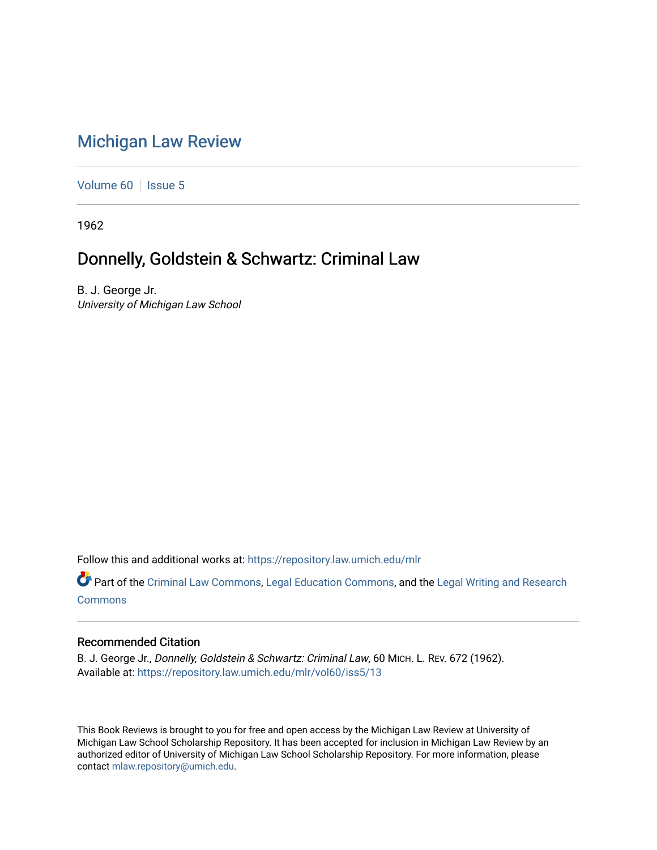# [Michigan Law Review](https://repository.law.umich.edu/mlr)

[Volume 60](https://repository.law.umich.edu/mlr/vol60) | [Issue 5](https://repository.law.umich.edu/mlr/vol60/iss5)

1962

## Donnelly, Goldstein & Schwartz: Criminal Law

B. J. George Jr. University of Michigan Law School

Follow this and additional works at: [https://repository.law.umich.edu/mlr](https://repository.law.umich.edu/mlr?utm_source=repository.law.umich.edu%2Fmlr%2Fvol60%2Fiss5%2F13&utm_medium=PDF&utm_campaign=PDFCoverPages) 

Part of the [Criminal Law Commons,](http://network.bepress.com/hgg/discipline/912?utm_source=repository.law.umich.edu%2Fmlr%2Fvol60%2Fiss5%2F13&utm_medium=PDF&utm_campaign=PDFCoverPages) [Legal Education Commons,](http://network.bepress.com/hgg/discipline/857?utm_source=repository.law.umich.edu%2Fmlr%2Fvol60%2Fiss5%2F13&utm_medium=PDF&utm_campaign=PDFCoverPages) and the Legal Writing and Research [Commons](http://network.bepress.com/hgg/discipline/614?utm_source=repository.law.umich.edu%2Fmlr%2Fvol60%2Fiss5%2F13&utm_medium=PDF&utm_campaign=PDFCoverPages)

### Recommended Citation

B. J. George Jr., Donnelly, Goldstein & Schwartz: Criminal Law, 60 MICH. L. REV. 672 (1962). Available at: [https://repository.law.umich.edu/mlr/vol60/iss5/13](https://repository.law.umich.edu/mlr/vol60/iss5/13?utm_source=repository.law.umich.edu%2Fmlr%2Fvol60%2Fiss5%2F13&utm_medium=PDF&utm_campaign=PDFCoverPages) 

This Book Reviews is brought to you for free and open access by the Michigan Law Review at University of Michigan Law School Scholarship Repository. It has been accepted for inclusion in Michigan Law Review by an authorized editor of University of Michigan Law School Scholarship Repository. For more information, please contact [mlaw.repository@umich.edu](mailto:mlaw.repository@umich.edu).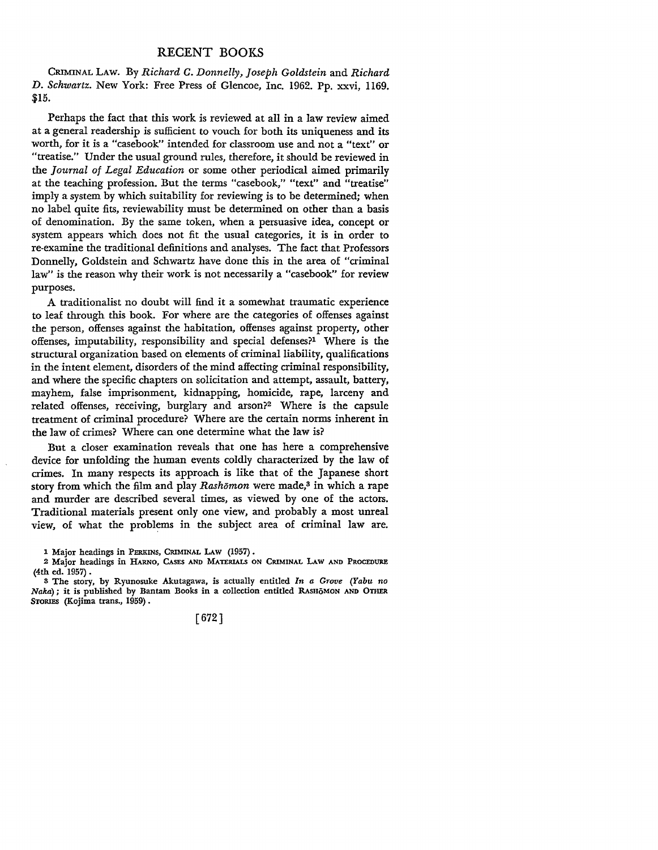#### RECENT BOOKS

CRIMINAL LAW. By *Richard C. Donnelly, Joseph Goldstein* and *Richard D. Schwartz.* New York: Free Press of Glencoe, Inc. 1962. Pp. xxvi, 1169. \$15.

Perhaps the fact that this work is reviewed at all in a law review aimed at a general readership is sufficient to vouch for both its uniqueness and its worth, for it is a "casebook" intended for classroom use and not a "text" or "treatise." Under the usual ground rules, therefore, it should be reviewed in the *Journal of Legal Education* or some other periodical aimed primarily at the teaching profession. But the terms "casebook," "text" and "treatise" imply a system by which suitability for reviewing is to be determined; when no label quite fits, reviewability must be determined on other than a basis of denomination. By the same token, when a persuasive idea, concept or system appears which does not fit the usual categories, it is in order to re-examine the traditional definitions and analyses. The fact that Professors Donnelly, Goldstein and Schwartz have done this in the area of "criminal law" is the reason why their work is not necessarily a "casebook" for review purposes.

A traditionalist no doubt will find it a somewhat traumatic experience to leaf through this book. For where are the categories of offenses against the person, offenses against the habitation, offenses against property, other offenses, imputability, responsibility and special defenses?1 Where is the structural organization based on elements of criminal liability, qualifications in the intent element, disorders of the mind affecting criminal responsibility, and where the specific chapters on solicitation and attempt, assault, battery, mayhem, false imprisonment, kidnapping, homicide, rape, larceny and related offenses, receiving, burglary and arson?2 Where is the capsule treatment of criminal procedure? Where are the certain norms inherent in the law of crimes? Where can one determine what the law is?

But a closer examination reveals that one has here a comprehensive device for unfolding the human events coldly characterized by the law of crimes. In many respects its approach is like that of the Japanese short story from which the film and play *Rashomon* were made,3 in which a rape and murder are described several times, as viewed by one of the actors. Traditional materials present only one view, and probably a most unreal view, of what the problems in the subject area of criminal law are.

1 Major headings in PERKINS, CRIMINAL LAW (1957).

2 Major headings in HARNO, CASES AND MATERIALS ON CRIMINAL LAW AND PROCEDURE (4th ed. 1957) .

s The story, by Ryunosuke Akutagawa, is actually entitled *In a Grove (Yabu no Naka*); it is published by Bantam Books in a collection entitled RASHOMON AND OTHER STORIES (Kojima trans., 1959).

### (672]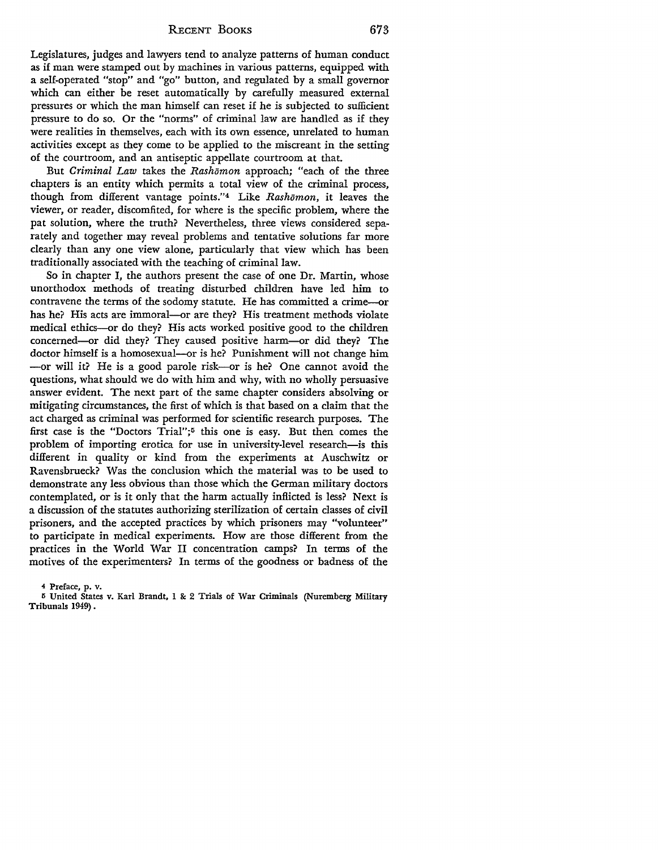Legislatures, judges and lawyers tend to analyze patterns of human conduct as if man were stamped out by machines in various patterns, equipped with a self-operated "stop" and "go" button, and regulated by a small governor which can either be reset automatically by carefully measured external pressures or which the man himself can reset if he is subjected to sufficient pressure to do so. Or the "norms" of criminal law are handled as if they were realities in themselves, each with its own essence, unrelated to human activities except as they come to be applied to the miscreant in the setting of the courtroom, and an antiseptic appellate courtroom at that.

But *Criminal Law* takes the *Rashomon* approach; "each of the three chapters is an entity which permits a total view of the criminal process, though from different vantage points."4 Like *Rashomon,* it leaves the viewer, or reader, discomfited, for where is the specific problem, where the pat solution, where the truth? Nevertheless, three views considered separately and together may reveal problems and tentative solutions far more clearly than any one view alone, particularly that view which has been traditionally associated with the teaching of criminal law.

So in chapter I, the authors present the case of one Dr. Martin, whose unorthodox methods of treating disturbed children have led him to contravene the terms of the sodomy statute. He has committed a crime--or has he? His acts are immoral--or are they? His treatment methods violate medical ethics--or do they? His acts worked positive good to the children concerned--or did they? They caused positive harm--or did they? **The**  doctor himself is a homosexual--or is he? Punishment will not change him --or will it? He is a good parole risk--or is he? One cannot avoid the questions, what should we do with him and why, with no wholly persuasive answer evident. The next part of the same chapter considers absolving or mitigating circumstances, the first of which is that based on a claim that the act charged as criminal was performed for scientific research purposes. The first case is the "Doctors Trial";5 this one is easy. But then comes the problem of importing erotica for use in university-level research-is this different in quality or kind from the experiments at Auschwitz or Ravensbrueck? Was the conclusion which the material was to be used to demonstrate any less obvious than those which the German military doctors contemplated, or is it only that the harm actually inflicted is less? Next is a discussion of the statutes authorizing sterilization of certain classes of civil prisoners, and the accepted practices by which prisoners may "volunteer" to participate in medical experiments. How are those different from the practices in the World War II concentration camps? In terms of the motives of the experimenters? In terms of the goodness or badness of the

<sup>4</sup>Preface, p. v.

II United States v. Karl Brandt, 1 8: 2 Trials of War Criminals (Nuremberg **Military**  Tribunals 1949) •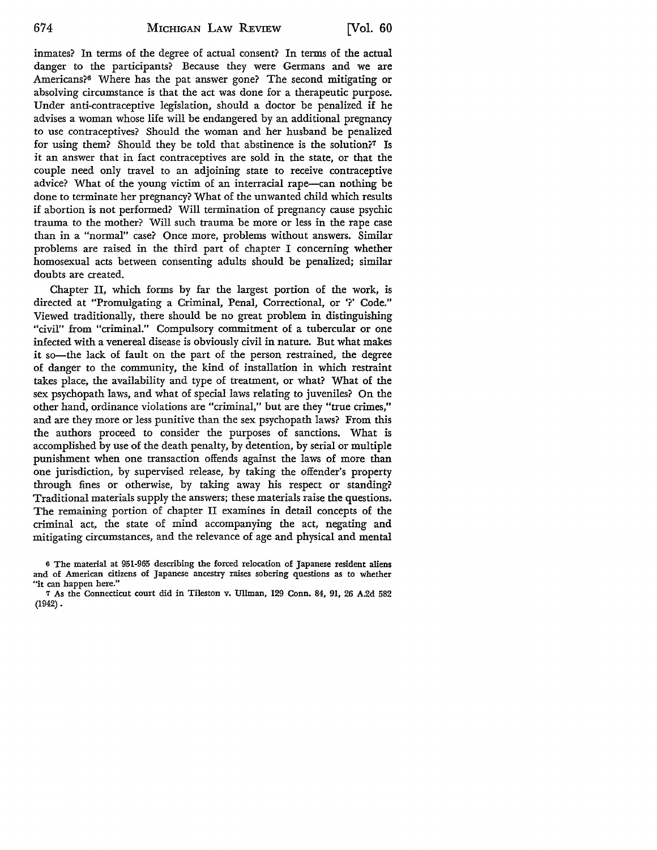inmates? In terms of the degree of actual consent? In terms of the actual danger to the participants? Because they were Germans and we are Americans?6 Where has the pat answer gone? The second mitigating or absolving circumstance is that the act was done for a therapeutic purpose. Under anti-contraceptive legislation, should a doctor be penalized if he advises a woman whose life will be endangered by an additional pregnancy to use contraceptives? Should the woman and her husband be penalized for using them? Should they be told that abstinence is the solution? Is it an answer that in fact contraceptives are sold in the state, or that the couple need only travel to an adjoining state to receive contraceptive advice? What of the young victim of an interracial rape-can nothing be done to terminate her pregnancy? What of the unwanted child which results if abortion is not performed? Will termination of pregnancy cause psychic trauma to the mother? Will such trauma be more or less in the rape case than in a "normal" case? Once more, problems without answers. Similar problems are raised in the third part of chapter I concerning whether homosexual acts between consenting adults should be penalized; similar doubts are created.

Chapter II, which forms by far the largest portion of the work, is directed at "Promulgating a Criminal, Penal, Correctional, or '?' Code." Viewed traditionally, there should be no great problem in distinguishing "civil" from "criminal." Compulsory commitment of a tubercular or one infected with a venereal disease is obviously civil in nature. But what makes it so-the lack of fault on the part of the person restrained, the degree of danger to the community, the kind of installation in which restraint takes place, the availability and type of treatment, or what? What of the sex psychopath laws, and what of special laws relating to juveniles? On the other hand, ordinance violations are "criminal," but are they "true crimes," and are they more or less punitive than the sex psychopath laws? From this the authors proceed to consider the purposes of sanctions. What is accomplished by use of the death penalty, by detention, by serial or multiple punishment when one transaction offends against the laws of more than one jurisdiction, by supervised release, by taking the offender's property through fines or otherwise, by taking away his respect or standing? Traditional materials supply the answers; these materials raise the questions. The remaining portion of chapter II examines in detail concepts of the criminal act, the state of mind accompanying the act, negating and mitigating circumstances, and the relevance of age and physical and mental

<sup>6</sup>The material at 951-965 describing the forced relocation of Japanese resident aliens and of American citizens of Japanese ancestry raises sobering questions as to whether "it can happen here."

<sup>7</sup>As the Connecticut court did in Tileston v. Ullman, 129 Conn. 84, 91, 26 A.2d 582 (1942).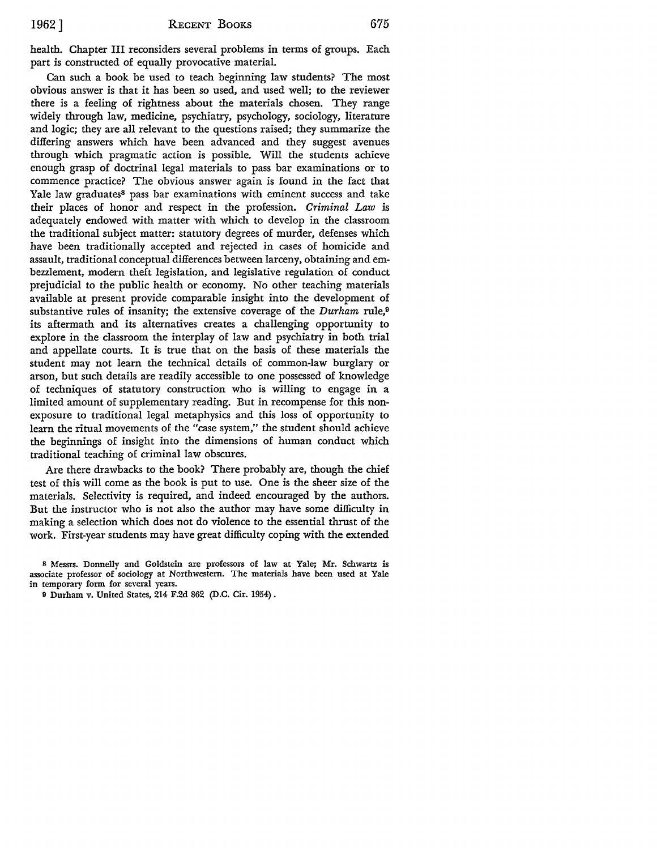health. Chapter III reconsiders several problems in terms of groups. Each part is constructed of equally provocative material.

Can such a book be used to teach beginning law students? The most obvious answer is that it has been so used, and used well; to the reviewer there is a feeling of rightness about the materials chosen. They range widely through law, medicine, psychiatry, psychology, sociology, literature and logic; they are all relevant to the questions raised; they summarize the differing answers which have been advanced and they suggest avenues through which pragmatic action is possible. Will the students achieve enough grasp of doctrinal legal materials to pass bar examinations or to commence practice? The obvious answer again is found in the fact that Yale law graduates<sup>8</sup> pass bar examinations with eminent success and take their places of honor and respect in the profession. *Criminal Law* is adequately endowed with matter with which to develop in the classroom the traditional subject matter: statutory degrees of murder, defenses which have been traditionally accepted and rejected in cases of homicide and assault, traditional conceptual differences between larceny, obtaining and embezzlement, modern theft legislation, and legislative regulation of conduct prejudicial to the public health or economy. No other teaching materials available at present provide comparable insight into the development of substantive rules of insanity; the extensive coverage of the *Durham* rule,<sup>9</sup> its aftermath and its alternatives creates a challenging opportunity to explore in the classroom the interplay of law and psychiatry in both trial and appellate courts. It is true that on the basis of these materials the student may not learn the technical details of common-law burglary or arson, but such details are readily accessible to one possessed of knowledge of techniques of statutory construction who is willing to engage in a limited amount of supplementary reading. But in recompense for this nonexposure to traditional legal metaphysics and this loss of opportunity to learn the ritual movements of the "case system," the student should achieve the beginnings of insight into the dimensions of human conduct which traditional teaching of criminal law obscures.

Are there drawbacks to the book? There probably are, though the chief test of this will come as the book is put to use. One is the sheer size of the materials. Selectivity is required, and indeed encouraged by the authors. But the instructor who is not also the author may have some difficulty in making a selection which does not do violence to the essential thrust of the work. First-year students may have great difficulty coping with the extended

s Messrs. Donnelly and Goldstein are professors of law at Yale; Mr. Schwartz is associate professor of sociology at Northwestern. The materials have been used at Yale in temporary form for several years.

9 Durham v. United States, 214 F.2d 862 (D.C. Cir. 1954).